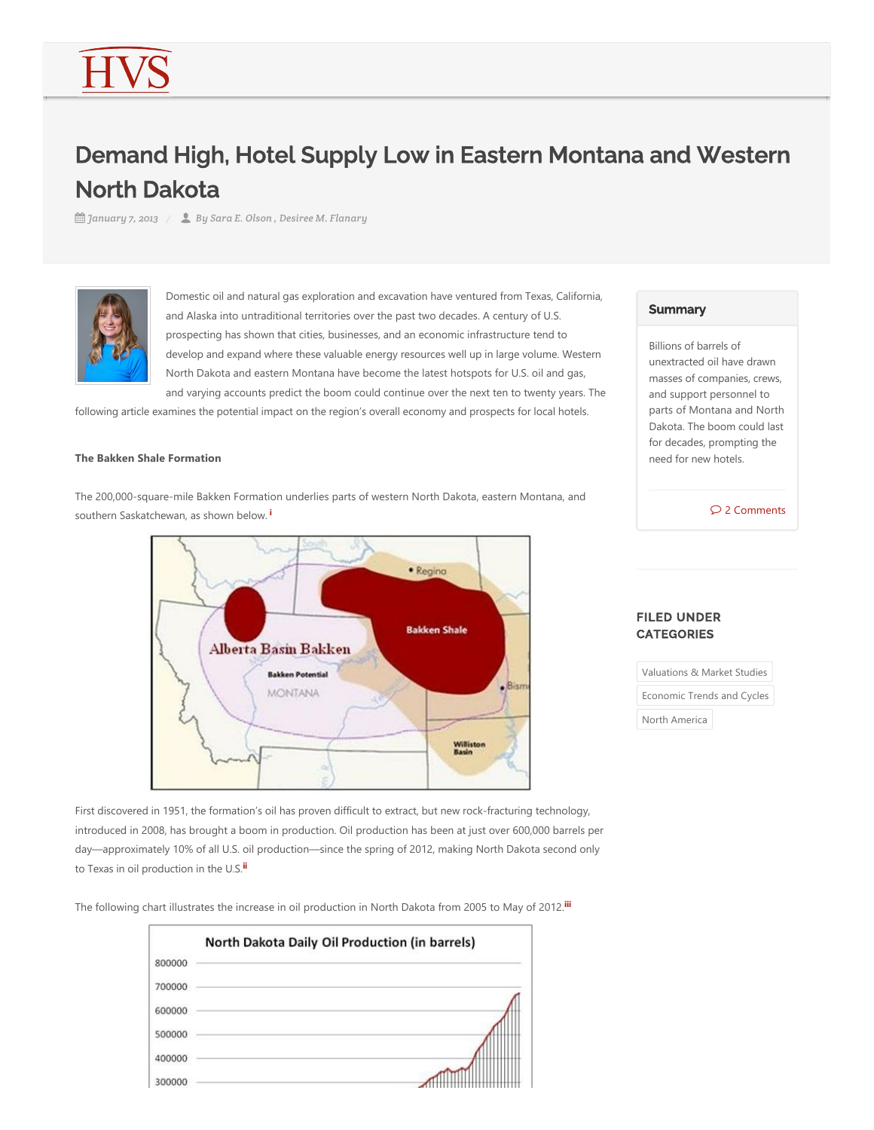# Demand High, Hotel Supply Low in Eastern Montana and Western North Dakota

*January 7, 2013 By Sara E. Olson , Desiree M. Flanary*



Domestic oil and natural gas exploration and excavation have ventured from Texas, California, and Alaska into untraditional territories over the past two decades. A century of U.S. prospecting has shown that cities, businesses, and an economic infrastructure tend to develop and expand where these valuable energy resources well up in large volume. Western North Dakota and eastern Montana have become the latest hotspots for U.S. oil and gas, and varying accounts predict the boom could continue over the next ten to twenty years. The

following article examines the potential impact on the region's overall economy and prospects for local hotels.

#### **The Bakken Shale Formation**

The 200,000‐square‐mile Bakken Formation underlies parts of western North Dakota, eastern Montana, and southern Saskatchewan, as shown below. **i**

<span id="page-0-0"></span>

FILED UNDER **CATEGORIES** 

Valuations & Market Studies

Economic Trends and Cycles

<span id="page-0-2"></span>North America

First discovered in 1951, the formation's oil has proven difficult to extract, but new rock-fracturing technology, introduced in 2008, has brought a boom in production. Oil production has been at just over 600,000 barrels per day—approximately 10% of all U.S. oil production—since the spring of 2012, making North Dakota second only to Texas in oil production in the U.S. **ii**

The following chart illustrates the increase in oil production in North Dakota from 2005 to May of 2012. **iii**

<span id="page-0-1"></span>

### **Summary**

Billions of barrels of unextracted oil have drawn masses of companies, crews, and support personnel to parts of Montana and North Dakota. The boom could last for decades, prompting the need for new hotels.

2 Comments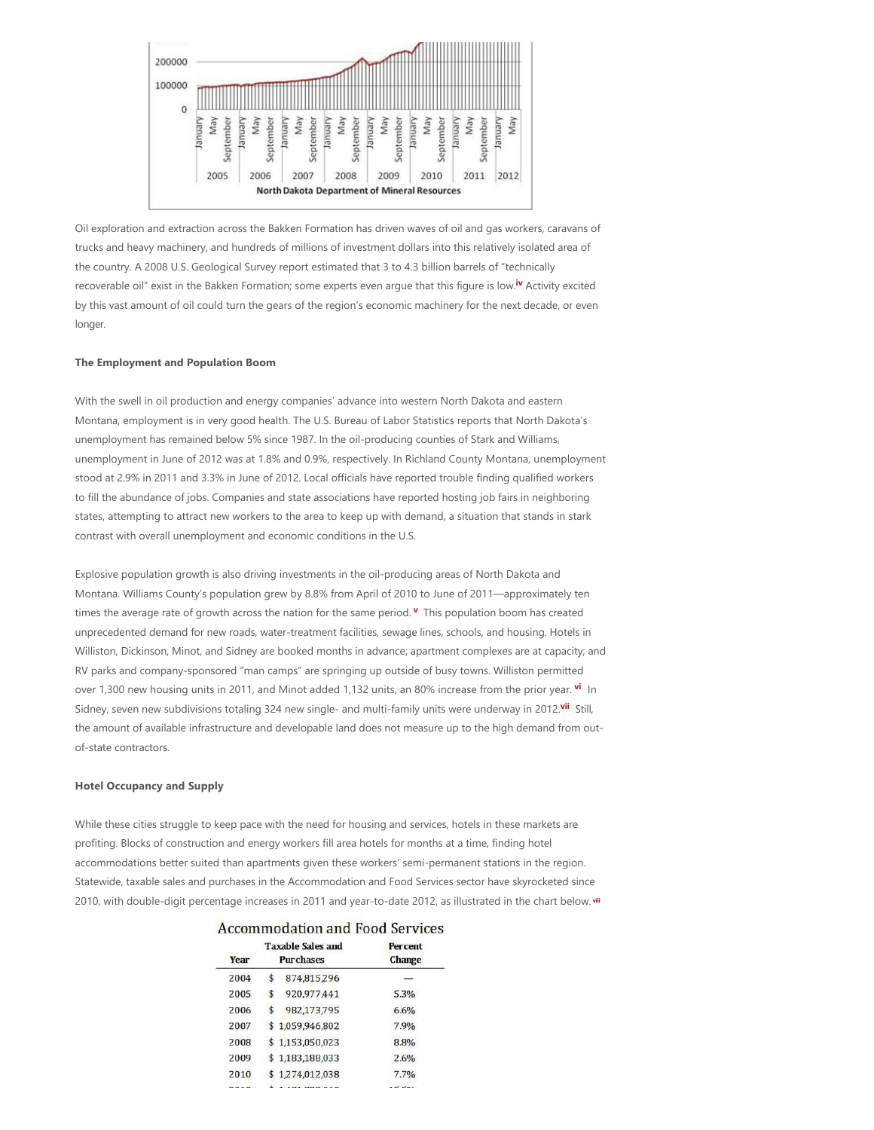

<span id="page-1-0"></span>Oil exploration and extraction across the Bakken Formation has driven waves of oil and gas workers, caravans of trucks and heavy machinery, and hundreds of millions of investment dollars into this relatively isolated area of the country. A 2008 U.S. Geological Survey report estimated that 3 to 4.3 billion barrels of "technically recoverable oil" exist in the Bakken Formation; some experts even argue that this figure is low.<sup>iv</sup> Activity excited by this vast amount of oil could turn the gears of the region's economic machinery for the next decade, or even longer.

#### **The Employment and Population Boom**

With the swell in oil production and energy companies' advance into western North Dakota and eastern Montana, employment is in very good health. The U.S. Bureau of Labor Statistics reports that North Dakota's unemployment has remained below 5% since 1987. In the oil-producing counties of Stark and Williams, unemployment in June of 2012 was at 1.8% and 0.9%, respectively. In Richland County Montana, unemployment stood at 2.9% in 2011 and 3.3% in June of 2012. Local officials have reported trouble finding qualified workers to fill the abundance of jobs. Companies and state associations have reported hosting job fairs in neighboring states, attempting to attract new workers to the area to keep up with demand, a situation that stands in stark contrast with overall unemployment and economic conditions in the U.S.

Explosive population growth is also driving investments in the oil‐producing areas of North Dakota and Montana. Williams County's population grew by 8.8% from April of 2010 to June of 2011—approximately ten times the average rate of growth across the nation for the same period. **V** This population boom has created unprecedented demand for new roads, water‐treatment facilities, sewage lines, schools, and housing. Hotels in Williston, Dickinson, Minot, and Sidney are booked months in advance; apartment complexes are at capacity; and RV parks and company‐sponsored "man camps" are springing up outside of busy towns. Williston permitted over 1,300 new housing units in 2011, and Minot added 1,132 units, an 80% increase from the prior year. <sup>vi</sup> In Sidney, seven new subdivisions totaling 324 new single- and multi-family units were underway in 2012.<sup>vii</sup> Still, the amount of available infrastructure and developable land does not measure up to the high demand from outof‐state contractors.

#### **Hotel Occupancy and Supply**

While these cities struggle to keep pace with the need for housing and services, hotels in these markets are profiting. Blocks of construction and energy workers fill area hotels for months at a time, finding hotel accommodations better suited than apartments given these workers' semi‐permanent stations in the region. Statewide, taxable sales and purchases in the Accommodation and Food Services sector have skyrocketed since 2010, with double‐digit percentage increases in 2011 and year‐to‐date 2012, as illustrated in the chart below.  **viii**

 $\mathbf{r}$ 

<span id="page-1-4"></span><span id="page-1-3"></span><span id="page-1-2"></span><span id="page-1-1"></span> $\overline{10}$ 

| Accommodation and Food Services |         |  |
|---------------------------------|---------|--|
| <b>Taxable Sales and</b>        | Percent |  |

 $\mathbb{R}$  .

| Year | <b>Taxable Sales and</b><br><b>Purchases</b> | <b>Percent</b><br>Change |
|------|----------------------------------------------|--------------------------|
| 2004 | \$<br>874,815,296                            |                          |
| 2005 | \$<br>920.977.441                            | 5.3%                     |
| 2006 | \$<br>982,173,795                            | 6.6%                     |
| 2007 | \$1,059,946,802                              | 7.9%                     |
| 2008 | \$1,153,050,023                              | 8.8%                     |
| 2009 | \$1.183.188.033                              | 2.6%                     |
| 2010 | \$1,274,012,038                              | 7.7%                     |
|      |                                              |                          |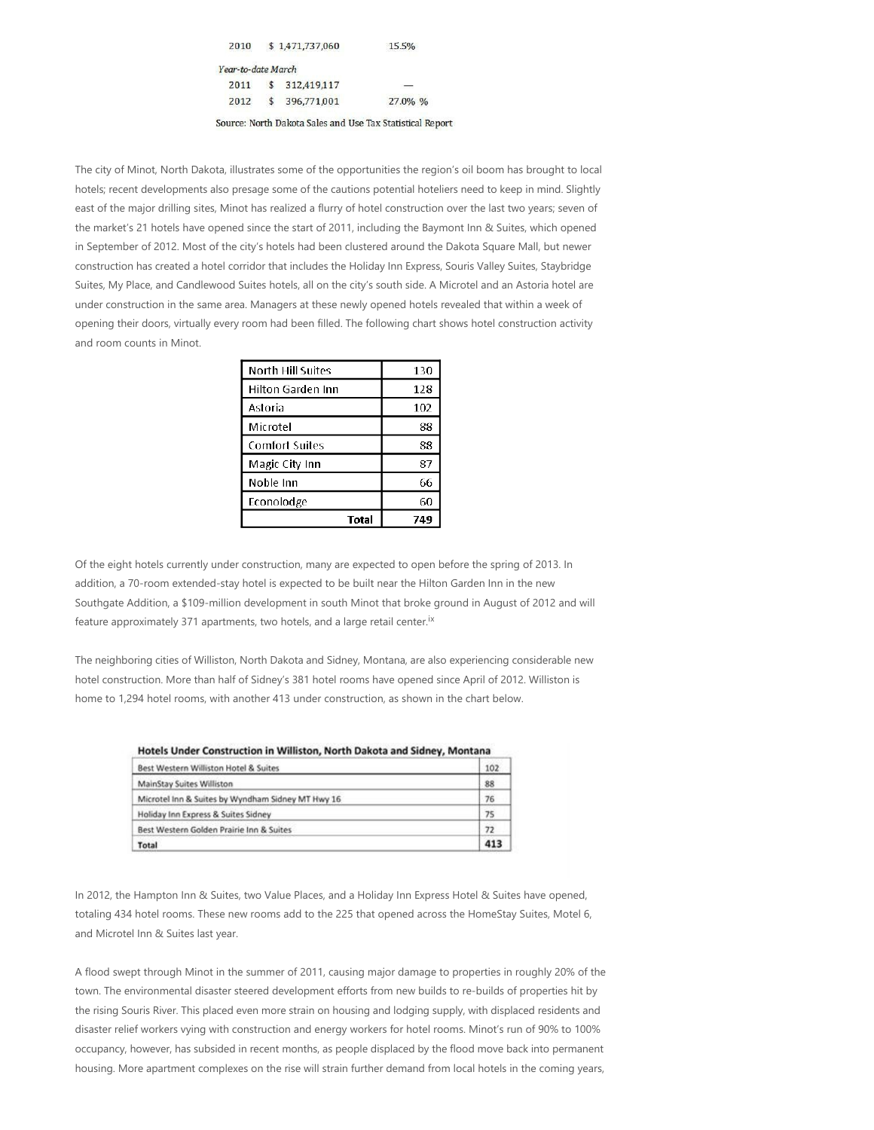| 2010               |               | \$1,471,737,060 | 15.5%                                                     |
|--------------------|---------------|-----------------|-----------------------------------------------------------|
| Year-to-date March |               |                 |                                                           |
| 2011               | $\mathcal{S}$ | 312.419,117     |                                                           |
| 2012               | $\mathsf{s}$  | 396,771,001     | 27.0% %                                                   |
|                    |               |                 | Source: North Dakota Sales and Use Tax Statistical Report |

The city of Minot, North Dakota, illustrates some of the opportunities the region's oil boom has brought to local hotels; recent developments also presage some of the cautions potential hoteliers need to keep in mind. Slightly east of the major drilling sites, Minot has realized a flurry of hotel construction over the last two years; seven of the market's 21 hotels have opened since the start of 2011, including the Baymont Inn & Suites, which opened in September of 2012. Most of the city's hotels had been clustered around the Dakota Square Mall, but newer construction has created a hotel corridor that includes the Holiday Inn Express, Souris Valley Suites, Staybridge Suites, My Place, and Candlewood Suites hotels, all on the city's south side. A Microtel and an Astoria hotel are under construction in the same area. Managers at these newly opened hotels revealed that within a week of opening their doors, virtually every room had been filled. The following chart shows hotel construction activity

and room counts in Minot.

| North Hill Suites | 130 |
|-------------------|-----|
| Hilton Garden Inn | 128 |
| Astoria           | 102 |
| Microtel          | 88  |
| Comfort Suites    | 88  |
| Magic City Inn    | 87  |
| Noble Inn         | 66  |
| Econolodge        | 60  |
| Total             | 749 |

Of the eight hotels currently under construction, many are expected to open before the spring of 2013. In addition, a 70-room extended-stay hotel is expected to be built near the Hilton Garden Inn in the new Southgate Addition, a \$109‐million development in south Minot that broke ground in August of 2012 and will feature approximately 371 apartments, two hotels, and a large retail center.<sup>ix</sup>

The neighboring cities of Williston, North Dakota and Sidney, Montana, are also experiencing considerable new hotel construction. More than half of Sidney's 381 hotel rooms have opened since April of 2012. Williston is home to 1,294 hotel rooms, with another 413 under construction, as shown in the chart below.

| Hotels Under Construction in Williston, North Dakota and Signey, Montana |     |
|--------------------------------------------------------------------------|-----|
| Best Western Williston Hotel & Suites                                    | 102 |
| MainStay Suites Williston                                                | 88  |
| Microtel Inn & Suites by Wyndham Sidney MT Hwy 16                        | 76  |
| Holiday Inn Express & Suites Sidney                                      | 75  |
| Best Western Golden Prairie Inn & Suites                                 | 72  |
| Total                                                                    | 413 |

**Untols Under Construction in Williston, North Delate and Cidney, Montena** 

In 2012, the Hampton Inn & Suites, two Value Places, and a Holiday Inn Express Hotel & Suites have opened, totaling 434 hotel rooms. These new rooms add to the 225 that opened across the HomeStay Suites, Motel 6, and Microtel Inn & Suites last year.

A flood swept through Minot in the summer of 2011, causing major damage to properties in roughly 20% of the town. The environmental disaster steered development efforts from new builds to re-builds of properties hit by the rising Souris River. This placed even more strain on housing and lodging supply, with displaced residents and disaster relief workers vying with construction and energy workers for hotel rooms. Minot's run of 90% to 100% occupancy, however, has subsided in recent months, as people displaced by the flood move back into permanent housing. More apartment complexes on the rise will strain further demand from local hotels in the coming years,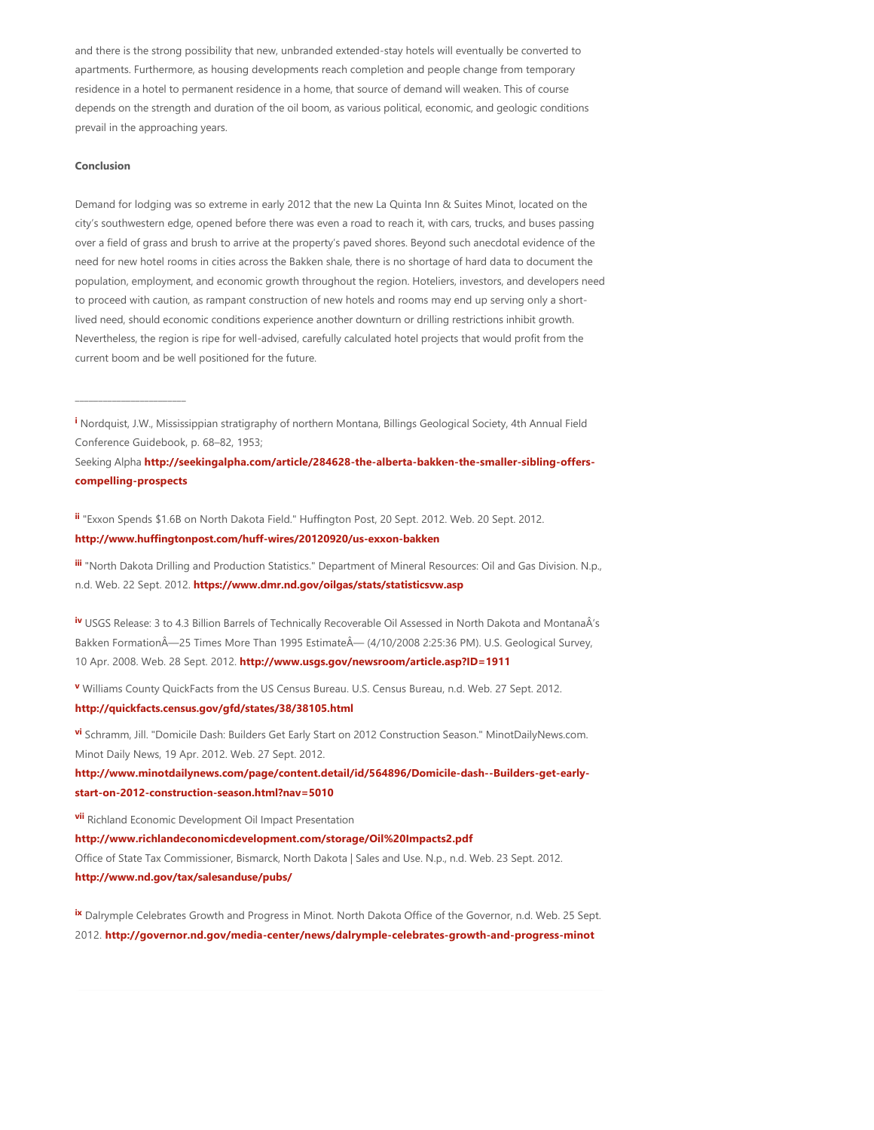and there is the strong possibility that new, unbranded extended‐stay hotels will eventually be converted to apartments. Furthermore, as housing developments reach completion and people change from temporary residence in a hotel to permanent residence in a home, that source of demand will weaken. This of course depends on the strength and duration of the oil boom, as various political, economic, and geologic conditions prevail in the approaching years.

#### **Conclusion**

\_\_\_\_\_\_\_\_\_\_\_\_\_\_\_\_\_\_\_\_\_\_\_\_

Demand for lodging was so extreme in early 2012 that the new La Quinta Inn & Suites Minot, located on the city's southwestern edge, opened before there was even a road to reach it, with cars, trucks, and buses passing over a field of grass and brush to arrive at the property's paved shores. Beyond such anecdotal evidence of the need for new hotel rooms in cities across the Bakken shale, there is no shortage of hard data to document the population, employment, and economic growth throughout the region. Hoteliers, investors, and developers need to proceed with caution, as rampant construction of new hotels and rooms may end up serving only a shortlived need, should economic conditions experience another downturn or drilling restrictions inhibit growth. Nevertheless, the region is ripe for well‐advised, carefully calculated hotel projects that would profit from the current boom and be well positioned for the future.

**[i](#page-0-0)** Nordquist, J.W., Mississippian stratigraphy of northern Montana, Billings Geological Society, 4th Annual Field Conference Guidebook, p. 68–82, 1953;

Seeking Alpha **http://seekingalpha.com/article/284628‐the‐alberta‐bakken‐the‐smaller‐sibling‐offers‐ compelling‐prospects**

**[ii](#page-0-1)** "Exxon Spends \$1.6B on North Dakota Field." Huffington Post, 20 Sept. 2012. Web. 20 Sept. 2012. **http://www.huffingtonpost.com/huff‐wires/20120920/us‐exxon‐bakken**

**[iii](#page-0-2)** "North Dakota Drilling and Production Statistics." Department of Mineral Resources: Oil and Gas Division. N.p., n.d. Web. 22 Sept. 2012. **https://www.dmr.nd.gov/oilgas/stats/statisticsvw.asp**

 USGS Release: 3 to 4.3 Billion Barrels of Technically Recoverable Oil Assessed in North Dakota and MontanaÂ's **[iv](#page-1-0)** Bakken FormationÂ-25 Times More Than 1995 EstimateÂ- (4/10/2008 2:25:36 PM). U.S. Geological Survey, 10 Apr. 2008. Web. 28 Sept. 2012. **http://www.usgs.gov/newsroom/article.asp?ID=1911**

 Williams County QuickFacts from the US Census Bureau. U.S. Census Bureau, n.d. Web. 27 Sept. 2012. **[v](#page-1-1) http://quickfacts.census.gov/gfd/states/38/38105.html**

 Schramm, Jill. "Domicile Dash: Builders Get Early Start on 2012 Construction Season." MinotDailyNews.com. **[vi](#page-1-2)** Minot Daily News, 19 Apr. 2012. Web. 27 Sept. 2012.

**http://www.minotdailynews.com/page/content.detail/id/564896/Domicile‐dash‐‐Builders‐get‐early‐ start‐on‐2012‐construction‐season.html?nav=5010**

**<sup>[vii](#page-1-3)</sup>** Richland Economic Development Oil Impact Presentation **http://www.richlandeconomicdevelopment.com/storage/Oil%20Impacts2.pdf** Office of State Tax Commissioner, Bismarck, North Dakota | Sales and Use. N.p., n.d. Web. 23 Sept. 2012.

**http://www.nd.gov/tax/salesanduse/pubs/**

[ix](#page-1-4) Dalrymple Celebrates Growth and Progress in Minot. North Dakota Office of the Governor, n.d. Web. 25 Sept. 2012. **http://governor.nd.gov/media‐center/news/dalrymple‐celebrates‐growth‐and‐progress‐minot**